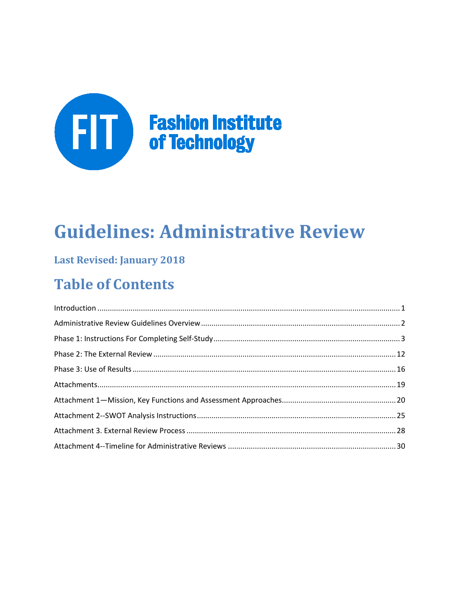

# **Guidelines: Administrative Review**

## **Last Revised: January 2018**

## **Table of Contents**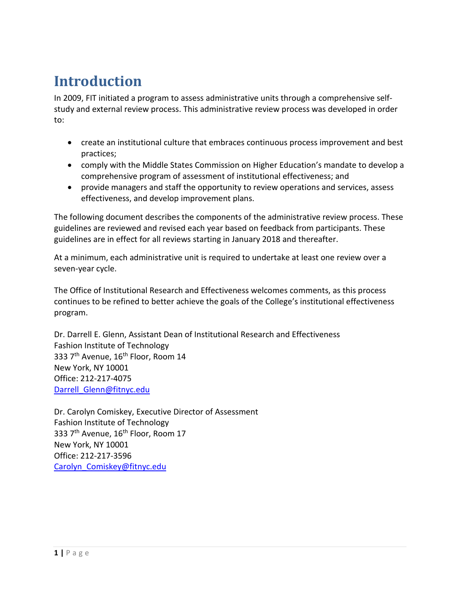## <span id="page-1-0"></span>**Introduction**

In 2009, FIT initiated a program to assess administrative units through a comprehensive selfstudy and external review process. This administrative review process was developed in order to:

- create an institutional culture that embraces continuous process improvement and best practices;
- comply with the Middle States Commission on Higher Education's mandate to develop a comprehensive program of assessment of institutional effectiveness; and
- provide managers and staff the opportunity to review operations and services, assess effectiveness, and develop improvement plans.

The following document describes the components of the administrative review process. These guidelines are reviewed and revised each year based on feedback from participants. These guidelines are in effect for all reviews starting in January 2018 and thereafter.

At a minimum, each administrative unit is required to undertake at least one review over a seven-year cycle.

The Office of Institutional Research and Effectiveness welcomes comments, as this process continues to be refined to better achieve the goals of the College's institutional effectiveness program.

Dr. Darrell E. Glenn, Assistant Dean of Institutional Research and Effectiveness Fashion Institute of Technology 333 7<sup>th</sup> Avenue, 16<sup>th</sup> Floor, Room 14 New York, NY 10001 Office: 212-217-4075 Darrell Glenn@fitnyc.edu

<span id="page-1-1"></span>Dr. Carolyn Comiskey, Executive Director of Assessment Fashion Institute of Technology 333 7<sup>th</sup> Avenue, 16<sup>th</sup> Floor, Room 17 New York, NY 10001 Office: 212-217-3596 [Carolyn\\_Comiskey@fitnyc.edu](mailto:Carolyn_Comiskey@fitnyc.edu)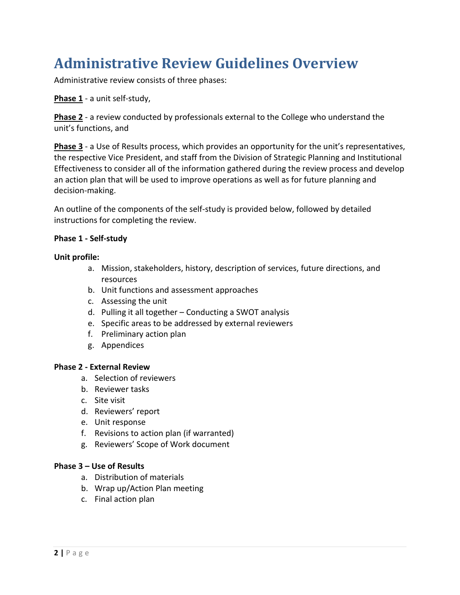## **Administrative Review Guidelines Overview**

Administrative review consists of three phases:

**Phase 1** - a unit self-study,

**Phase 2** - a review conducted by professionals external to the College who understand the unit's functions, and

**Phase 3** - a Use of Results process, which provides an opportunity for the unit's representatives, the respective Vice President, and staff from the Division of Strategic Planning and Institutional Effectiveness to consider all of the information gathered during the review process and develop an action plan that will be used to improve operations as well as for future planning and decision-making.

An outline of the components of the self-study is provided below, followed by detailed instructions for completing the review.

### **Phase 1 - Self-study**

#### **Unit profile:**

- a. Mission, stakeholders, history, description of services, future directions, and resources
- b. Unit functions and assessment approaches
- c. Assessing the unit
- d. Pulling it all together Conducting a SWOT analysis
- e. Specific areas to be addressed by external reviewers
- f. Preliminary action plan
- g. Appendices

#### **Phase 2 - External Review**

- a. Selection of reviewers
- b. Reviewer tasks
- c. Site visit
- d. Reviewers' report
- e. Unit response
- f. Revisions to action plan (if warranted)
- g. Reviewers' Scope of Work document

#### **Phase 3 – Use of Results**

- a. Distribution of materials
- b. Wrap up/Action Plan meeting
- c. Final action plan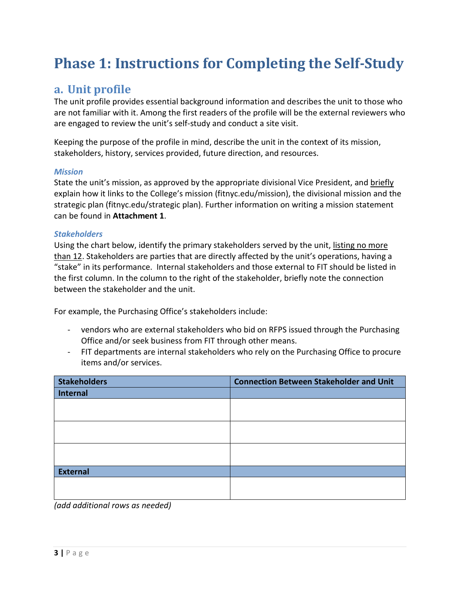## <span id="page-3-0"></span>**Phase 1: Instructions for Completing the Self-Study**

## **a. Unit profile**

The unit profile provides essential background information and describes the unit to those who are not familiar with it. Among the first readers of the profile will be the external reviewers who are engaged to review the unit's self-study and conduct a site visit.

Keeping the purpose of the profile in mind, describe the unit in the context of its mission, stakeholders, history, services provided, future direction, and resources.

### *Mission*

State the unit's mission, as approved by the appropriate divisional Vice President, and briefly explain how it links to the College's mission (fitnyc.edu/mission), the divisional mission and the strategic plan (fitnyc.edu/strategic plan). Further information on writing a mission statement can be found in **Attachment 1**.

### *Stakeholders*

Using the chart below, identify the primary stakeholders served by the unit, listing no more than 12. Stakeholders are parties that are directly affected by the unit's operations, having a "stake" in its performance. Internal stakeholders and those external to FIT should be listed in the first column. In the column to the right of the stakeholder, briefly note the connection between the stakeholder and the unit.

For example, the Purchasing Office's stakeholders include:

- vendors who are external stakeholders who bid on RFPS issued through the Purchasing Office and/or seek business from FIT through other means.
- FIT departments are internal stakeholders who rely on the Purchasing Office to procure items and/or services.

| <b>Stakeholders</b> | <b>Connection Between Stakeholder and Unit</b> |
|---------------------|------------------------------------------------|
| <b>Internal</b>     |                                                |
|                     |                                                |
|                     |                                                |
|                     |                                                |
|                     |                                                |
|                     |                                                |
|                     |                                                |
| <b>External</b>     |                                                |
|                     |                                                |
|                     |                                                |

*(add additional rows as needed)*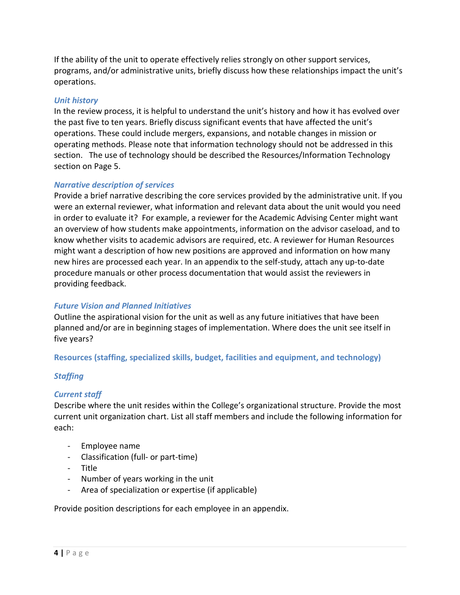If the ability of the unit to operate effectively relies strongly on other support services, programs, and/or administrative units, briefly discuss how these relationships impact the unit's operations.

### *Unit history*

In the review process, it is helpful to understand the unit's history and how it has evolved over the past five to ten years. Briefly discuss significant events that have affected the unit's operations. These could include mergers, expansions, and notable changes in mission or operating methods. Please note that information technology should not be addressed in this section. The use of technology should be described the Resources/Information Technology section on Page 5.

### *Narrative description of services*

Provide a brief narrative describing the core services provided by the administrative unit. If you were an external reviewer, what information and relevant data about the unit would you need in order to evaluate it? For example, a reviewer for the Academic Advising Center might want an overview of how students make appointments, information on the advisor caseload, and to know whether visits to academic advisors are required, etc. A reviewer for Human Resources might want a description of how new positions are approved and information on how many new hires are processed each year. In an appendix to the self-study, attach any up-to-date procedure manuals or other process documentation that would assist the reviewers in providing feedback.

## *Future Vision and Planned Initiatives*

Outline the aspirational vision for the unit as well as any future initiatives that have been planned and/or are in beginning stages of implementation. Where does the unit see itself in five years?

#### **Resources (staffing, specialized skills, budget, facilities and equipment, and technology)**

#### *Staffing*

#### *Current staff*

Describe where the unit resides within the College's organizational structure. Provide the most current unit organization chart. List all staff members and include the following information for each:

- Employee name
- Classification (full- or part-time)
- Title
- Number of years working in the unit
- Area of specialization or expertise (if applicable)

Provide position descriptions for each employee in an appendix.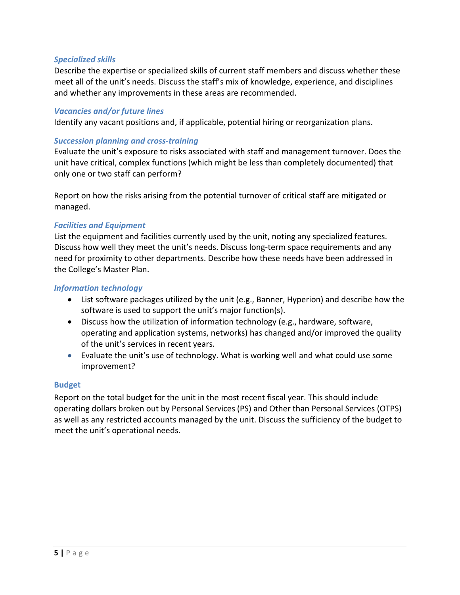### *Specialized skills*

Describe the expertise or specialized skills of current staff members and discuss whether these meet all of the unit's needs. Discuss the staff's mix of knowledge, experience, and disciplines and whether any improvements in these areas are recommended.

#### *Vacancies and/or future lines*

Identify any vacant positions and, if applicable, potential hiring or reorganization plans.

#### *Succession planning and cross-training*

Evaluate the unit's exposure to risks associated with staff and management turnover. Does the unit have critical, complex functions (which might be less than completely documented) that only one or two staff can perform?

Report on how the risks arising from the potential turnover of critical staff are mitigated or managed.

#### *Facilities and Equipment*

List the equipment and facilities currently used by the unit, noting any specialized features. Discuss how well they meet the unit's needs. Discuss long-term space requirements and any need for proximity to other departments. Describe how these needs have been addressed in the College's Master Plan.

#### *Information technology*

- List software packages utilized by the unit (e.g., Banner, Hyperion) and describe how the software is used to support the unit's major function(s).
- Discuss how the utilization of information technology (e.g., hardware, software, operating and application systems, networks) has changed and/or improved the quality of the unit's services in recent years.
- Evaluate the unit's use of technology. What is working well and what could use some improvement?

#### **Budget**

Report on the total budget for the unit in the most recent fiscal year. This should include operating dollars broken out by Personal Services (PS) and Other than Personal Services (OTPS) as well as any restricted accounts managed by the unit. Discuss the sufficiency of the budget to meet the unit's operational needs.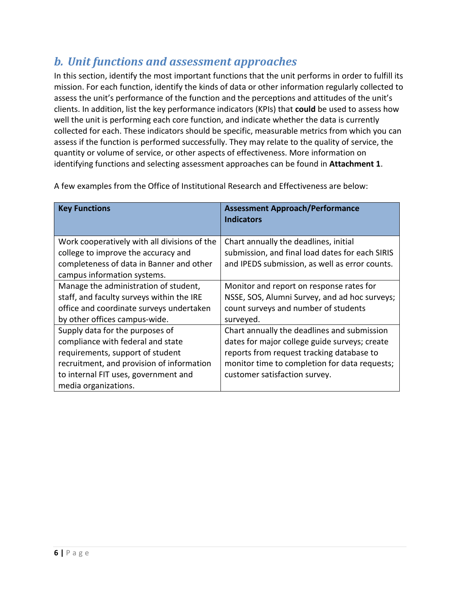## *b. Unit functions and assessment approaches*

In this section, identify the most important functions that the unit performs in order to fulfill its mission. For each function, identify the kinds of data or other information regularly collected to assess the unit's performance of the function and the perceptions and attitudes of the unit's clients. In addition, list the key performance indicators (KPIs) that **could** be used to assess how well the unit is performing each core function, and indicate whether the data is currently collected for each. These indicators should be specific, measurable metrics from which you can assess if the function is performed successfully. They may relate to the quality of service, the quantity or volume of service, or other aspects of effectiveness. More information on identifying functions and selecting assessment approaches can be found in **Attachment 1**.

| <b>Key Functions</b>                         | <b>Assessment Approach/Performance</b><br><b>Indicators</b> |
|----------------------------------------------|-------------------------------------------------------------|
|                                              |                                                             |
| Work cooperatively with all divisions of the | Chart annually the deadlines, initial                       |
| college to improve the accuracy and          | submission, and final load dates for each SIRIS             |
| completeness of data in Banner and other     | and IPEDS submission, as well as error counts.              |
| campus information systems.                  |                                                             |
| Manage the administration of student,        | Monitor and report on response rates for                    |
| staff, and faculty surveys within the IRE    | NSSE, SOS, Alumni Survey, and ad hoc surveys;               |
| office and coordinate surveys undertaken     | count surveys and number of students                        |
| by other offices campus-wide.                | surveyed.                                                   |
| Supply data for the purposes of              | Chart annually the deadlines and submission                 |
| compliance with federal and state            | dates for major college guide surveys; create               |
| requirements, support of student             | reports from request tracking database to                   |
| recruitment, and provision of information    | monitor time to completion for data requests;               |
| to internal FIT uses, government and         | customer satisfaction survey.                               |
| media organizations.                         |                                                             |

A few examples from the Office of Institutional Research and Effectiveness are below: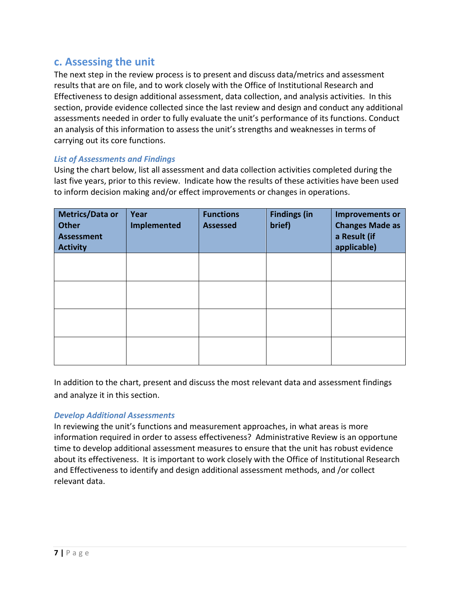## **c. Assessing the unit**

The next step in the review process is to present and discuss data/metrics and assessment results that are on file, and to work closely with the Office of Institutional Research and Effectiveness to design additional assessment, data collection, and analysis activities. In this section, provide evidence collected since the last review and design and conduct any additional assessments needed in order to fully evaluate the unit's performance of its functions. Conduct an analysis of this information to assess the unit's strengths and weaknesses in terms of carrying out its core functions.

## *List of Assessments and Findings*

Using the chart below, list all assessment and data collection activities completed during the last five years, prior to this review. Indicate how the results of these activities have been used to inform decision making and/or effect improvements or changes in operations.

| <b>Metrics/Data or</b><br><b>Other</b><br><b>Assessment</b><br><b>Activity</b> | Year<br><b>Implemented</b> | <b>Functions</b><br><b>Assessed</b> | <b>Findings (in</b><br>brief) | <b>Improvements or</b><br><b>Changes Made as</b><br>a Result (if<br>applicable) |
|--------------------------------------------------------------------------------|----------------------------|-------------------------------------|-------------------------------|---------------------------------------------------------------------------------|
|                                                                                |                            |                                     |                               |                                                                                 |
|                                                                                |                            |                                     |                               |                                                                                 |
|                                                                                |                            |                                     |                               |                                                                                 |
|                                                                                |                            |                                     |                               |                                                                                 |

In addition to the chart, present and discuss the most relevant data and assessment findings and analyze it in this section.

## *Develop Additional Assessments*

In reviewing the unit's functions and measurement approaches, in what areas is more information required in order to assess effectiveness? Administrative Review is an opportune time to develop additional assessment measures to ensure that the unit has robust evidence about its effectiveness. It is important to work closely with the Office of Institutional Research and Effectiveness to identify and design additional assessment methods, and /or collect relevant data.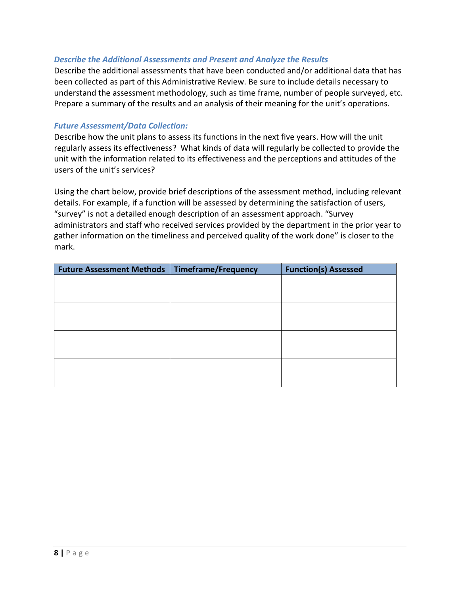### *Describe the Additional Assessments and Present and Analyze the Results*

Describe the additional assessments that have been conducted and/or additional data that has been collected as part of this Administrative Review. Be sure to include details necessary to understand the assessment methodology, such as time frame, number of people surveyed, etc. Prepare a summary of the results and an analysis of their meaning for the unit's operations.

#### *Future Assessment/Data Collection:*

Describe how the unit plans to assess its functions in the next five years. How will the unit regularly assess its effectiveness? What kinds of data will regularly be collected to provide the unit with the information related to its effectiveness and the perceptions and attitudes of the users of the unit's services?

Using the chart below, provide brief descriptions of the assessment method, including relevant details. For example, if a function will be assessed by determining the satisfaction of users, "survey" is not a detailed enough description of an assessment approach. "Survey administrators and staff who received services provided by the department in the prior year to gather information on the timeliness and perceived quality of the work done" is closer to the mark.

| Future Assessment Methods   Timeframe/Frequency | <b>Function(s) Assessed</b> |
|-------------------------------------------------|-----------------------------|
|                                                 |                             |
|                                                 |                             |
|                                                 |                             |
|                                                 |                             |
|                                                 |                             |
|                                                 |                             |
|                                                 |                             |
|                                                 |                             |
|                                                 |                             |
|                                                 |                             |
|                                                 |                             |
|                                                 |                             |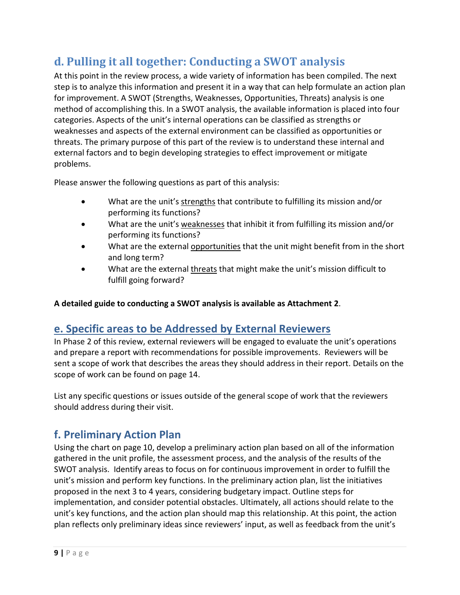## **d. Pulling it all together: Conducting a SWOT analysis**

At this point in the review process, a wide variety of information has been compiled. The next step is to analyze this information and present it in a way that can help formulate an action plan for improvement. A SWOT (Strengths, Weaknesses, Opportunities, Threats) analysis is one method of accomplishing this. In a SWOT analysis, the available information is placed into four categories. Aspects of the unit's internal operations can be classified as strengths or weaknesses and aspects of the external environment can be classified as opportunities or threats. The primary purpose of this part of the review is to understand these internal and external factors and to begin developing strategies to effect improvement or mitigate problems.

Please answer the following questions as part of this analysis:

- What are the unit's strengths that contribute to fulfilling its mission and/or performing its functions?
- What are the unit's weaknesses that inhibit it from fulfilling its mission and/or performing its functions?
- What are the external opportunities that the unit might benefit from in the short and long term?
- What are the external threats that might make the unit's mission difficult to fulfill going forward?

**A detailed guide to conducting a SWOT analysis is available as Attachment 2**.

## **e. Specific areas to be Addressed by External Reviewers**

In Phase 2 of this review, external reviewers will be engaged to evaluate the unit's operations and prepare a report with recommendations for possible improvements. Reviewers will be sent a scope of work that describes the areas they should address in their report. Details on the scope of work can be found on page 14.

List any specific questions or issues outside of the general scope of work that the reviewers should address during their visit.

## **f. Preliminary Action Plan**

Using the chart on page 10, develop a preliminary action plan based on all of the information gathered in the unit profile, the assessment process, and the analysis of the results of the SWOT analysis. Identify areas to focus on for continuous improvement in order to fulfill the unit's mission and perform key functions. In the preliminary action plan, list the initiatives proposed in the next 3 to 4 years, considering budgetary impact. Outline steps for implementation, and consider potential obstacles. Ultimately, all actions should relate to the unit's key functions, and the action plan should map this relationship. At this point, the action plan reflects only preliminary ideas since reviewers' input, as well as feedback from the unit's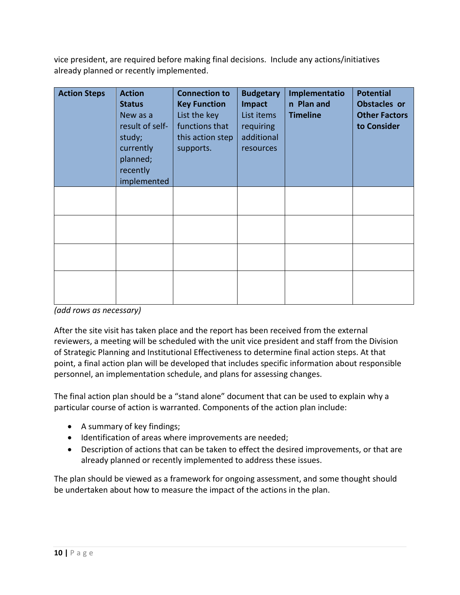vice president, are required before making final decisions. Include any actions/initiatives already planned or recently implemented.

| <b>Action Steps</b> | <b>Action</b><br><b>Status</b><br>New as a<br>result of self-<br>study;<br>currently<br>planned;<br>recently<br>implemented | <b>Connection to</b><br><b>Key Function</b><br>List the key<br>functions that<br>this action step<br>supports. | <b>Budgetary</b><br>Impact<br>List items<br>requiring<br>additional<br>resources | Implementatio<br>n Plan and<br><b>Timeline</b> | <b>Potential</b><br>Obstacles or<br><b>Other Factors</b><br>to Consider |
|---------------------|-----------------------------------------------------------------------------------------------------------------------------|----------------------------------------------------------------------------------------------------------------|----------------------------------------------------------------------------------|------------------------------------------------|-------------------------------------------------------------------------|
|                     |                                                                                                                             |                                                                                                                |                                                                                  |                                                |                                                                         |
|                     |                                                                                                                             |                                                                                                                |                                                                                  |                                                |                                                                         |
|                     |                                                                                                                             |                                                                                                                |                                                                                  |                                                |                                                                         |
|                     |                                                                                                                             |                                                                                                                |                                                                                  |                                                |                                                                         |

*(add rows as necessary)*

After the site visit has taken place and the report has been received from the external reviewers, a meeting will be scheduled with the unit vice president and staff from the Division of Strategic Planning and Institutional Effectiveness to determine final action steps. At that point, a final action plan will be developed that includes specific information about responsible personnel, an implementation schedule, and plans for assessing changes.

The final action plan should be a "stand alone" document that can be used to explain why a particular course of action is warranted. Components of the action plan include:

- A summary of key findings;
- Identification of areas where improvements are needed;
- Description of actions that can be taken to effect the desired improvements, or that are already planned or recently implemented to address these issues.

The plan should be viewed as a framework for ongoing assessment, and some thought should be undertaken about how to measure the impact of the actions in the plan.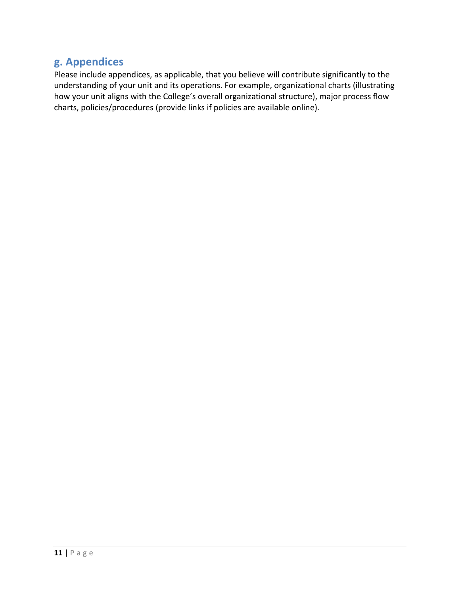## **g. Appendices**

Please include appendices, as applicable, that you believe will contribute significantly to the understanding of your unit and its operations. For example, organizational charts (illustrating how your unit aligns with the College's overall organizational structure), major process flow charts, policies/procedures (provide links if policies are available online).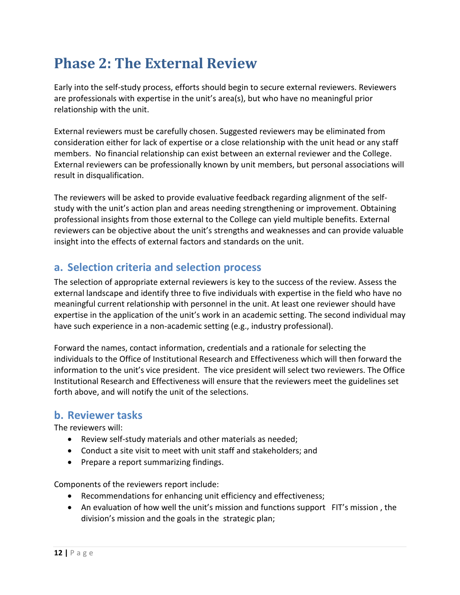## <span id="page-12-0"></span>**Phase 2: The External Review**

Early into the self-study process, efforts should begin to secure external reviewers. Reviewers are professionals with expertise in the unit's area(s), but who have no meaningful prior relationship with the unit.

External reviewers must be carefully chosen. Suggested reviewers may be eliminated from consideration either for lack of expertise or a close relationship with the unit head or any staff members. No financial relationship can exist between an external reviewer and the College. External reviewers can be professionally known by unit members, but personal associations will result in disqualification.

The reviewers will be asked to provide evaluative feedback regarding alignment of the selfstudy with the unit's action plan and areas needing strengthening or improvement. Obtaining professional insights from those external to the College can yield multiple benefits. External reviewers can be objective about the unit's strengths and weaknesses and can provide valuable insight into the effects of external factors and standards on the unit.

## **a. Selection criteria and selection process**

The selection of appropriate external reviewers is key to the success of the review. Assess the external landscape and identify three to five individuals with expertise in the field who have no meaningful current relationship with personnel in the unit. At least one reviewer should have expertise in the application of the unit's work in an academic setting. The second individual may have such experience in a non-academic setting (e.g., industry professional).

Forward the names, contact information, credentials and a rationale for selecting the individuals to the Office of Institutional Research and Effectiveness which will then forward the information to the unit's vice president. The vice president will select two reviewers. The Office Institutional Research and Effectiveness will ensure that the reviewers meet the guidelines set forth above, and will notify the unit of the selections.

## **b. Reviewer tasks**

The reviewers will:

- Review self-study materials and other materials as needed;
- Conduct a site visit to meet with unit staff and stakeholders; and
- Prepare a report summarizing findings.

Components of the reviewers report include:

- Recommendations for enhancing unit efficiency and effectiveness;
- An evaluation of how well the unit's mission and functions support FIT's mission, the division's mission and the goals in the strategic plan;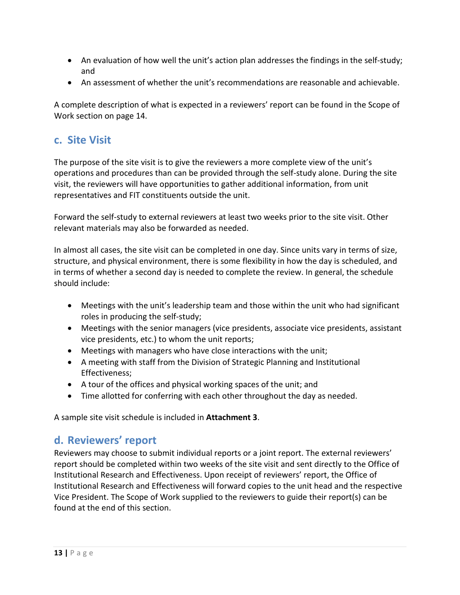- An evaluation of how well the unit's action plan addresses the findings in the self-study; and
- An assessment of whether the unit's recommendations are reasonable and achievable.

A complete description of what is expected in a reviewers' report can be found in the Scope of Work section on page 14.

## **c. Site Visit**

The purpose of the site visit is to give the reviewers a more complete view of the unit's operations and procedures than can be provided through the self-study alone. During the site visit, the reviewers will have opportunities to gather additional information, from unit representatives and FIT constituents outside the unit.

Forward the self-study to external reviewers at least two weeks prior to the site visit. Other relevant materials may also be forwarded as needed.

In almost all cases, the site visit can be completed in one day. Since units vary in terms of size, structure, and physical environment, there is some flexibility in how the day is scheduled, and in terms of whether a second day is needed to complete the review. In general, the schedule should include:

- Meetings with the unit's leadership team and those within the unit who had significant roles in producing the self-study;
- Meetings with the senior managers (vice presidents, associate vice presidents, assistant vice presidents, etc.) to whom the unit reports;
- Meetings with managers who have close interactions with the unit;
- A meeting with staff from the Division of Strategic Planning and Institutional Effectiveness;
- A tour of the offices and physical working spaces of the unit; and
- Time allotted for conferring with each other throughout the day as needed.

A sample site visit schedule is included in **Attachment 3**.

## **d. Reviewers' report**

Reviewers may choose to submit individual reports or a joint report. The external reviewers' report should be completed within two weeks of the site visit and sent directly to the Office of Institutional Research and Effectiveness. Upon receipt of reviewers' report, the Office of Institutional Research and Effectiveness will forward copies to the unit head and the respective Vice President. The Scope of Work supplied to the reviewers to guide their report(s) can be found at the end of this section.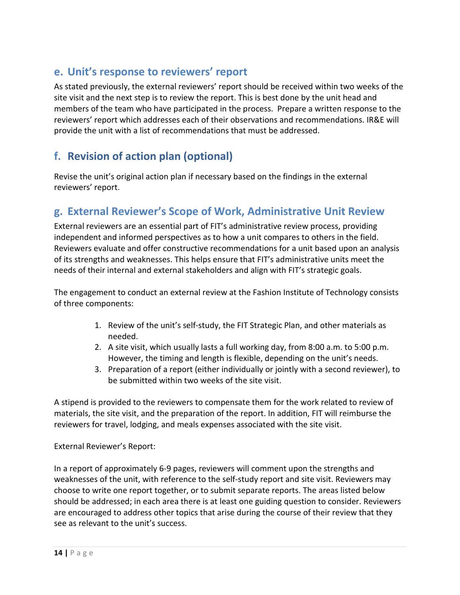## **e. Unit's response to reviewers' report**

As stated previously, the external reviewers' report should be received within two weeks of the site visit and the next step is to review the report. This is best done by the unit head and members of the team who have participated in the process. Prepare a written response to the reviewers' report which addresses each of their observations and recommendations. IR&E will provide the unit with a list of recommendations that must be addressed.

## **f. Revision of action plan (optional)**

Revise the unit's original action plan if necessary based on the findings in the external reviewers' report.

## **g. External Reviewer's Scope of Work, Administrative Unit Review**

External reviewers are an essential part of FIT's administrative review process, providing independent and informed perspectives as to how a unit compares to others in the field. Reviewers evaluate and offer constructive recommendations for a unit based upon an analysis of its strengths and weaknesses. This helps ensure that FIT's administrative units meet the needs of their internal and external stakeholders and align with FIT's strategic goals.

The engagement to conduct an external review at the Fashion Institute of Technology consists of three components:

- 1. Review of the unit's self-study, the FIT Strategic Plan, and other materials as needed.
- 2. A site visit, which usually lasts a full working day, from 8:00 a.m. to 5:00 p.m. However, the timing and length is flexible, depending on the unit's needs.
- 3. Preparation of a report (either individually or jointly with a second reviewer), to be submitted within two weeks of the site visit.

A stipend is provided to the reviewers to compensate them for the work related to review of materials, the site visit, and the preparation of the report. In addition, FIT will reimburse the reviewers for travel, lodging, and meals expenses associated with the site visit.

## External Reviewer's Report:

In a report of approximately 6-9 pages, reviewers will comment upon the strengths and weaknesses of the unit, with reference to the self-study report and site visit. Reviewers may choose to write one report together, or to submit separate reports. The areas listed below should be addressed; in each area there is at least one guiding question to consider. Reviewers are encouraged to address other topics that arise during the course of their review that they see as relevant to the unit's success.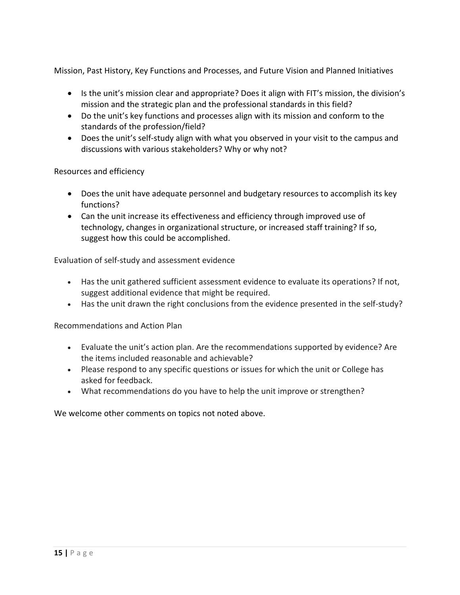Mission, Past History, Key Functions and Processes, and Future Vision and Planned Initiatives

- Is the unit's mission clear and appropriate? Does it align with FIT's mission, the division's mission and the strategic plan and the professional standards in this field?
- Do the unit's key functions and processes align with its mission and conform to the standards of the profession/field?
- Does the unit's self-study align with what you observed in your visit to the campus and discussions with various stakeholders? Why or why not?

Resources and efficiency

- Does the unit have adequate personnel and budgetary resources to accomplish its key functions?
- Can the unit increase its effectiveness and efficiency through improved use of technology, changes in organizational structure, or increased staff training? If so, suggest how this could be accomplished.

Evaluation of self-study and assessment evidence

- Has the unit gathered sufficient assessment evidence to evaluate its operations? If not, suggest additional evidence that might be required.
- Has the unit drawn the right conclusions from the evidence presented in the self-study?

Recommendations and Action Plan

- Evaluate the unit's action plan. Are the recommendations supported by evidence? Are the items included reasonable and achievable?
- Please respond to any specific questions or issues for which the unit or College has asked for feedback.
- What recommendations do you have to help the unit improve or strengthen?

We welcome other comments on topics not noted above.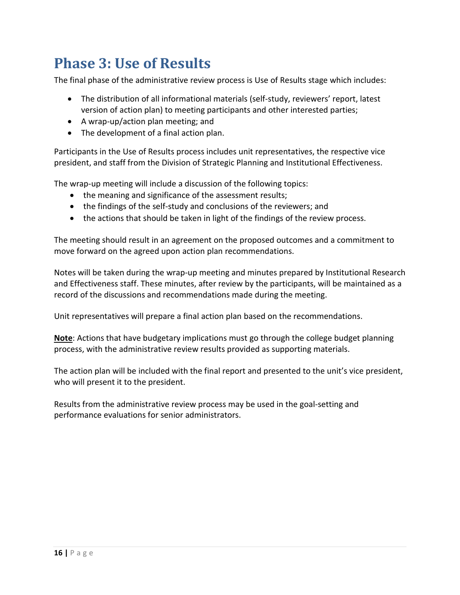## <span id="page-16-0"></span>**Phase 3: Use of Results**

The final phase of the administrative review process is Use of Results stage which includes:

- The distribution of all informational materials (self-study, reviewers' report, latest version of action plan) to meeting participants and other interested parties;
- A wrap-up/action plan meeting; and
- The development of a final action plan.

Participants in the Use of Results process includes unit representatives, the respective vice president, and staff from the Division of Strategic Planning and Institutional Effectiveness.

The wrap-up meeting will include a discussion of the following topics:

- the meaning and significance of the assessment results;
- the findings of the self-study and conclusions of the reviewers; and
- the actions that should be taken in light of the findings of the review process.

The meeting should result in an agreement on the proposed outcomes and a commitment to move forward on the agreed upon action plan recommendations.

Notes will be taken during the wrap-up meeting and minutes prepared by Institutional Research and Effectiveness staff. These minutes, after review by the participants, will be maintained as a record of the discussions and recommendations made during the meeting.

Unit representatives will prepare a final action plan based on the recommendations.

**Note**: Actions that have budgetary implications must go through the college budget planning process, with the administrative review results provided as supporting materials.

The action plan will be included with the final report and presented to the unit's vice president, who will present it to the president.

Results from the administrative review process may be used in the goal-setting and performance evaluations for senior administrators.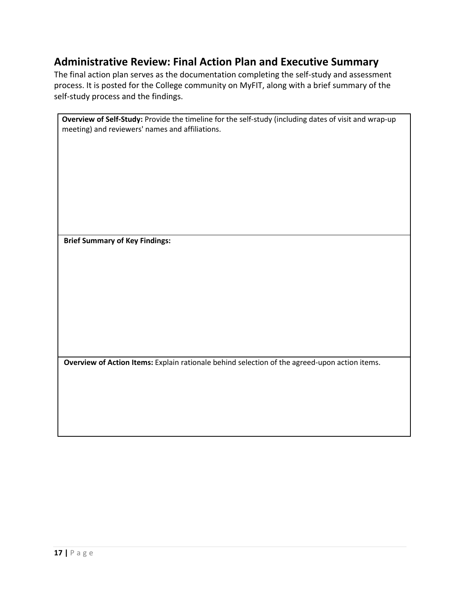## **Administrative Review: Final Action Plan and Executive Summary**

The final action plan serves as the documentation completing the self-study and assessment process. It is posted for the College community on MyFIT, along with a brief summary of the self-study process and the findings.

| Overview of Self-Study: Provide the timeline for the self-study (including dates of visit and wrap-up |
|-------------------------------------------------------------------------------------------------------|
| meeting) and reviewers' names and affiliations.                                                       |
|                                                                                                       |
|                                                                                                       |
|                                                                                                       |
|                                                                                                       |
|                                                                                                       |
|                                                                                                       |
|                                                                                                       |
|                                                                                                       |
|                                                                                                       |
|                                                                                                       |
|                                                                                                       |
|                                                                                                       |
|                                                                                                       |
| <b>Brief Summary of Key Findings:</b>                                                                 |
|                                                                                                       |
|                                                                                                       |
|                                                                                                       |
|                                                                                                       |
|                                                                                                       |
|                                                                                                       |
|                                                                                                       |
|                                                                                                       |
|                                                                                                       |
|                                                                                                       |
|                                                                                                       |
|                                                                                                       |
|                                                                                                       |
|                                                                                                       |
| Overview of Action Items: Explain rationale behind selection of the agreed-upon action items.         |
|                                                                                                       |
|                                                                                                       |
|                                                                                                       |
|                                                                                                       |
|                                                                                                       |
|                                                                                                       |
|                                                                                                       |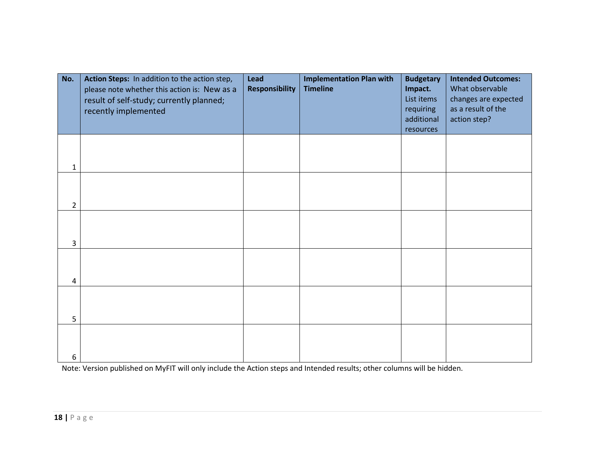| No.            | Action Steps: In addition to the action step,<br>please note whether this action is: New as a<br>result of self-study; currently planned;<br>recently implemented | Lead<br><b>Responsibility</b> | <b>Implementation Plan with</b><br><b>Timeline</b> | <b>Budgetary</b><br>Impact.<br>List items<br>requiring<br>additional<br>resources | <b>Intended Outcomes:</b><br>What observable<br>changes are expected<br>as a result of the<br>action step? |
|----------------|-------------------------------------------------------------------------------------------------------------------------------------------------------------------|-------------------------------|----------------------------------------------------|-----------------------------------------------------------------------------------|------------------------------------------------------------------------------------------------------------|
| 1              |                                                                                                                                                                   |                               |                                                    |                                                                                   |                                                                                                            |
| $\overline{2}$ |                                                                                                                                                                   |                               |                                                    |                                                                                   |                                                                                                            |
| 3              |                                                                                                                                                                   |                               |                                                    |                                                                                   |                                                                                                            |
| 4              |                                                                                                                                                                   |                               |                                                    |                                                                                   |                                                                                                            |
| 5              |                                                                                                                                                                   |                               |                                                    |                                                                                   |                                                                                                            |
| 6              |                                                                                                                                                                   |                               |                                                    |                                                                                   |                                                                                                            |

Note: Version published on MyFIT will only include the Action steps and Intended results; other columns will be hidden.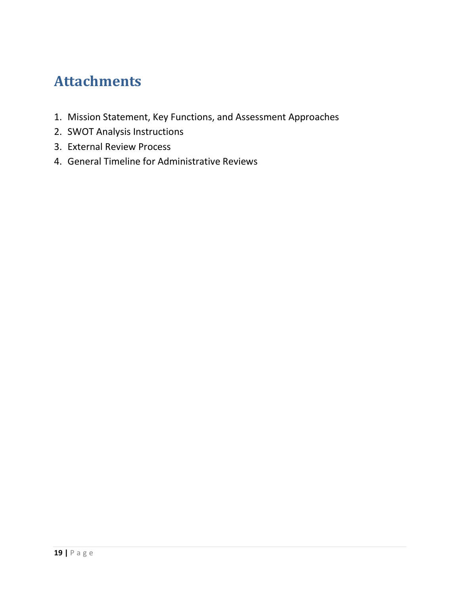## <span id="page-19-0"></span>**Attachments**

- 1. Mission Statement, Key Functions, and Assessment Approaches
- 2. SWOT Analysis Instructions
- 3. External Review Process
- 4. General Timeline for Administrative Reviews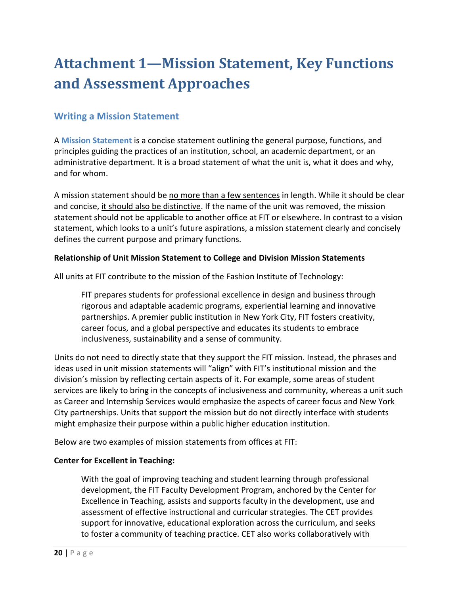## <span id="page-20-0"></span>**Attachment 1—Mission Statement, Key Functions and Assessment Approaches**

## **Writing a Mission Statement**

A **Mission Statement** is a concise statement outlining the general purpose, functions, and principles guiding the practices of an institution, school, an academic department, or an administrative department. It is a broad statement of what the unit is, what it does and why, and for whom.

A mission statement should be no more than a few sentences in length. While it should be clear and concise, it should also be distinctive. If the name of the unit was removed, the mission statement should not be applicable to another office at FIT or elsewhere. In contrast to a vision statement, which looks to a unit's future aspirations, a mission statement clearly and concisely defines the current purpose and primary functions.

### **Relationship of Unit Mission Statement to College and Division Mission Statements**

All units at FIT contribute to the mission of the Fashion Institute of Technology:

FIT prepares students for professional excellence in design and business through rigorous and adaptable academic programs, experiential learning and innovative partnerships. A premier public institution in New York City, FIT fosters creativity, career focus, and a global perspective and educates its students to embrace inclusiveness, sustainability and a sense of community.

Units do not need to directly state that they support the FIT mission. Instead, the phrases and ideas used in unit mission statements will "align" with FIT's institutional mission and the division's mission by reflecting certain aspects of it. For example, some areas of student services are likely to bring in the concepts of inclusiveness and community, whereas a unit such as Career and Internship Services would emphasize the aspects of career focus and New York City partnerships. Units that support the mission but do not directly interface with students might emphasize their purpose within a public higher education institution.

Below are two examples of mission statements from offices at FIT:

#### **Center for Excellent in Teaching:**

With the goal of improving teaching and student learning through professional development, the FIT Faculty Development Program, anchored by the Center for Excellence in Teaching, assists and supports faculty in the development, use and assessment of effective instructional and curricular strategies. The CET provides support for innovative, educational exploration across the curriculum, and seeks to foster a community of teaching practice. CET also works collaboratively with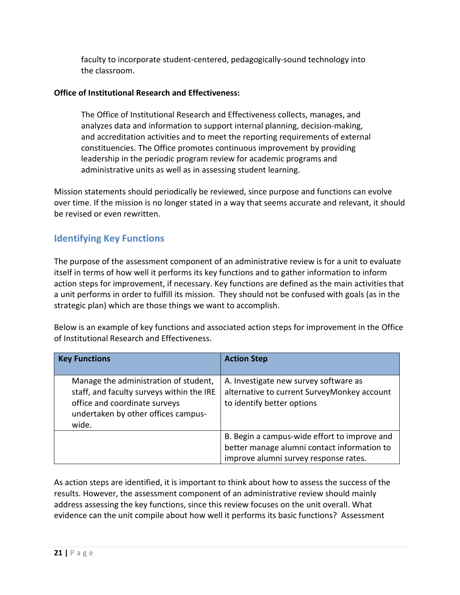faculty to incorporate student-centered, pedagogically-sound technology into the classroom.

## **Office of Institutional Research and Effectiveness:**

The Office of Institutional Research and Effectiveness collects, manages, and analyzes data and information to support internal planning, decision-making, and accreditation activities and to meet the reporting requirements of external constituencies. The Office promotes continuous improvement by providing leadership in the periodic program review for academic programs and administrative units as well as in assessing student learning.

Mission statements should periodically be reviewed, since purpose and functions can evolve over time. If the mission is no longer stated in a way that seems accurate and relevant, it should be revised or even rewritten.

## **Identifying Key Functions**

The purpose of the assessment component of an administrative review is for a unit to evaluate itself in terms of how well it performs its key functions and to gather information to inform action steps for improvement, if necessary. Key functions are defined as the main activities that a unit performs in order to fulfill its mission. They should not be confused with goals (as in the strategic plan) which are those things we want to accomplish.

Below is an example of key functions and associated action steps for improvement in the Office of Institutional Research and Effectiveness.

| <b>Key Functions</b>                                                                                                                                                | <b>Action Step</b>                                                                                                                   |
|---------------------------------------------------------------------------------------------------------------------------------------------------------------------|--------------------------------------------------------------------------------------------------------------------------------------|
| Manage the administration of student,<br>staff, and faculty surveys within the IRE<br>office and coordinate surveys<br>undertaken by other offices campus-<br>wide. | A. Investigate new survey software as<br>alternative to current SurveyMonkey account<br>to identify better options                   |
|                                                                                                                                                                     | B. Begin a campus-wide effort to improve and<br>better manage alumni contact information to<br>improve alumni survey response rates. |

As action steps are identified, it is important to think about how to assess the success of the results. However, the assessment component of an administrative review should mainly address assessing the key functions, since this review focuses on the unit overall. What evidence can the unit compile about how well it performs its basic functions? Assessment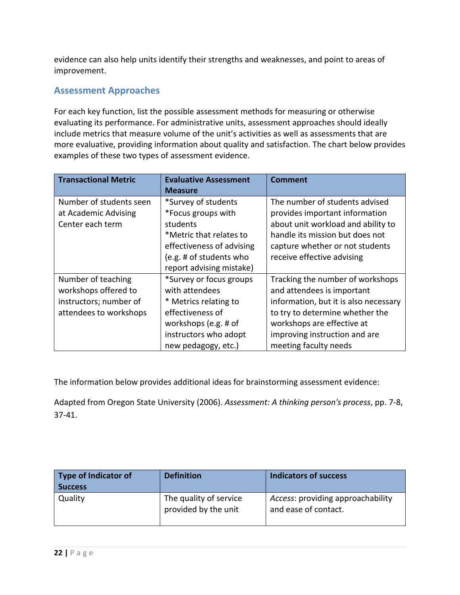evidence can also help units identify their strengths and weaknesses, and point to areas of improvement.

## **Assessment Approaches**

For each key function, list the possible assessment methods for measuring or otherwise evaluating its performance. For administrative units, assessment approaches should ideally include metrics that measure volume of the unit's activities as well as assessments that are more evaluative, providing information about quality and satisfaction. The chart below provides examples of these two types of assessment evidence.

| <b>Transactional Metric</b> | <b>Evaluative Assessment</b> | <b>Comment</b>                        |  |
|-----------------------------|------------------------------|---------------------------------------|--|
|                             | <b>Measure</b>               |                                       |  |
| Number of students seen     | *Survey of students          | The number of students advised        |  |
| at Academic Advising        | *Focus groups with           | provides important information        |  |
| Center each term            | students                     | about unit workload and ability to    |  |
|                             | *Metric that relates to      | handle its mission but does not       |  |
|                             | effectiveness of advising    | capture whether or not students       |  |
|                             | (e.g. # of students who      | receive effective advising            |  |
|                             | report advising mistake)     |                                       |  |
| Number of teaching          | *Survey or focus groups      | Tracking the number of workshops      |  |
| workshops offered to        | with attendees               | and attendees is important            |  |
| instructors; number of      | * Metrics relating to        | information, but it is also necessary |  |
| attendees to workshops      | effectiveness of             | to try to determine whether the       |  |
|                             | workshops (e.g. # of         | workshops are effective at            |  |
|                             | instructors who adopt        | improving instruction and are         |  |
|                             | new pedagogy, etc.)          | meeting faculty needs                 |  |

The information below provides additional ideas for brainstorming assessment evidence:

Adapted from Oregon State University (2006). *Assessment: A thinking person's process*, pp. 7-8, 37-41.

| <b>Type of Indicator of</b><br><b>Success</b> | <b>Definition</b>                              | <b>Indicators of success</b>                              |
|-----------------------------------------------|------------------------------------------------|-----------------------------------------------------------|
| Quality                                       | The quality of service<br>provided by the unit | Access: providing approachability<br>and ease of contact. |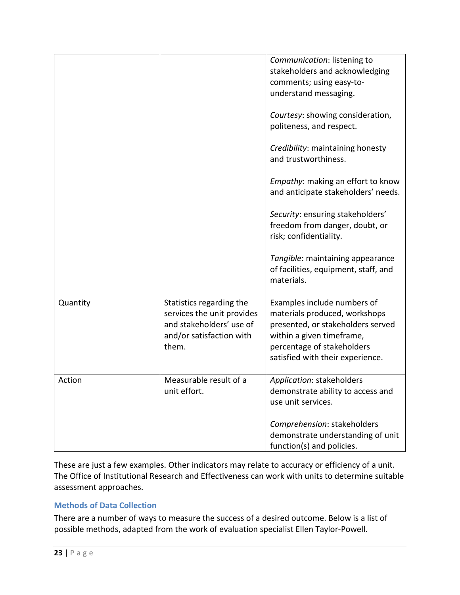|          |                                                                                                                         | Communication: listening to<br>stakeholders and acknowledging<br>comments; using easy-to-<br>understand messaging.                                                                               |
|----------|-------------------------------------------------------------------------------------------------------------------------|--------------------------------------------------------------------------------------------------------------------------------------------------------------------------------------------------|
|          |                                                                                                                         | Courtesy: showing consideration,<br>politeness, and respect.                                                                                                                                     |
|          |                                                                                                                         | Credibility: maintaining honesty<br>and trustworthiness.                                                                                                                                         |
|          |                                                                                                                         | <i>Empathy:</i> making an effort to know<br>and anticipate stakeholders' needs.                                                                                                                  |
|          |                                                                                                                         | Security: ensuring stakeholders'<br>freedom from danger, doubt, or<br>risk; confidentiality.                                                                                                     |
|          |                                                                                                                         | Tangible: maintaining appearance<br>of facilities, equipment, staff, and<br>materials.                                                                                                           |
| Quantity | Statistics regarding the<br>services the unit provides<br>and stakeholders' use of<br>and/or satisfaction with<br>them. | Examples include numbers of<br>materials produced, workshops<br>presented, or stakeholders served<br>within a given timeframe,<br>percentage of stakeholders<br>satisfied with their experience. |
| Action   | Measurable result of a<br>unit effort.                                                                                  | Application: stakeholders<br>demonstrate ability to access and<br>use unit services.                                                                                                             |
|          |                                                                                                                         | Comprehension: stakeholders<br>demonstrate understanding of unit<br>function(s) and policies.                                                                                                    |

These are just a few examples. Other indicators may relate to accuracy or efficiency of a unit. The Office of Institutional Research and Effectiveness can work with units to determine suitable assessment approaches.

## **Methods of Data Collection**

There are a number of ways to measure the success of a desired outcome. Below is a list of possible methods, adapted from the work of evaluation specialist Ellen Taylor-Powell.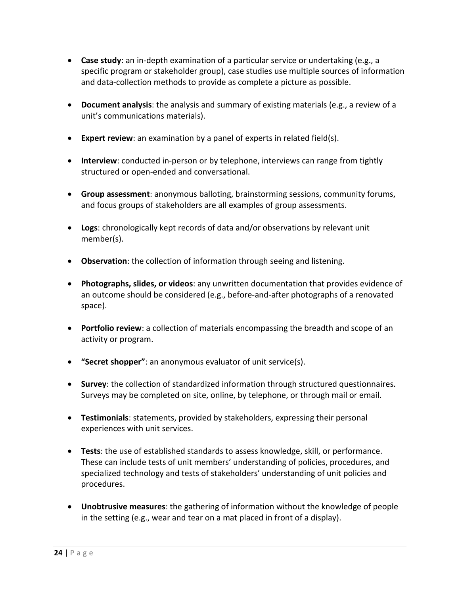- **Case study**: an in-depth examination of a particular service or undertaking (e.g., a specific program or stakeholder group), case studies use multiple sources of information and data-collection methods to provide as complete a picture as possible.
- **Document analysis**: the analysis and summary of existing materials (e.g., a review of a unit's communications materials).
- **Expert review**: an examination by a panel of experts in related field(s).
- **Interview**: conducted in-person or by telephone, interviews can range from tightly structured or open-ended and conversational.
- **Group assessment**: anonymous balloting, brainstorming sessions, community forums, and focus groups of stakeholders are all examples of group assessments.
- **Logs**: chronologically kept records of data and/or observations by relevant unit member(s).
- **Observation**: the collection of information through seeing and listening.
- **Photographs, slides, or videos**: any unwritten documentation that provides evidence of an outcome should be considered (e.g., before-and-after photographs of a renovated space).
- **Portfolio review**: a collection of materials encompassing the breadth and scope of an activity or program.
- **"Secret shopper"**: an anonymous evaluator of unit service(s).
- **Survey**: the collection of standardized information through structured questionnaires. Surveys may be completed on site, online, by telephone, or through mail or email.
- **Testimonials**: statements, provided by stakeholders, expressing their personal experiences with unit services.
- **Tests**: the use of established standards to assess knowledge, skill, or performance. These can include tests of unit members' understanding of policies, procedures, and specialized technology and tests of stakeholders' understanding of unit policies and procedures.
- **Unobtrusive measures**: the gathering of information without the knowledge of people in the setting (e.g., wear and tear on a mat placed in front of a display).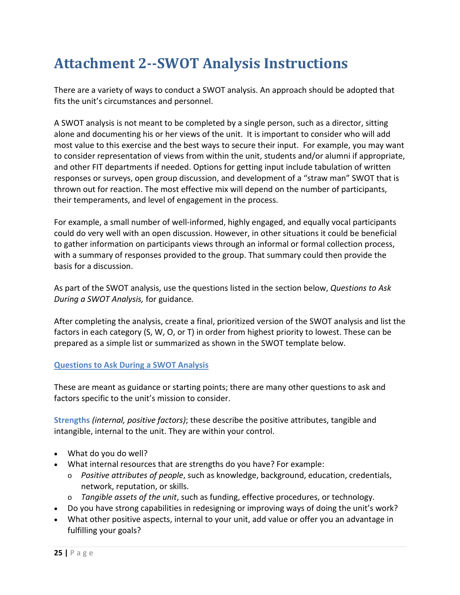## <span id="page-25-0"></span>**Attachment 2--SWOT Analysis Instructions**

There are a variety of ways to conduct a SWOT analysis. An approach should be adopted that fits the unit's circumstances and personnel.

A SWOT analysis is not meant to be completed by a single person, such as a director, sitting alone and documenting his or her views of the unit. It is important to consider who will add most value to this exercise and the best ways to secure their input. For example, you may want to consider representation of views from within the unit, students and/or alumni if appropriate, and other FIT departments if needed. Options for getting input include tabulation of written responses or surveys, open group discussion, and development of a "straw man" SWOT that is thrown out for reaction. The most effective mix will depend on the number of participants, their temperaments, and level of engagement in the process.

For example, a small number of well-informed, highly engaged, and equally vocal participants could do very well with an open discussion. However, in other situations it could be beneficial to gather information on participants views through an informal or formal collection process, with a summary of responses provided to the group. That summary could then provide the basis for a discussion.

As part of the SWOT analysis, use the questions listed in the section below, *[Questions to Ask](#page-25-1)  [During a SWOT Analysis,](#page-25-1)* for guidance*.* 

After completing the analysis, create a final, prioritized version of the SWOT analysis and list the factors in each category (S, W, O, or T) in order from highest priority to lowest. These can be prepared as a simple list or summarized as shown in the SWOT template below.

## <span id="page-25-1"></span>**Questions to Ask During a SWOT Analysis**

These are meant as guidance or starting points; there are many other questions to ask and factors specific to the unit's mission to consider.

**Strengths** *(internal, positive factors)*; these describe the positive attributes, tangible and intangible, internal to the unit. They are within your control.

- What do you do well?
- What internal resources that are strengths do you have? For example:
	- o *Positive attributes of people*, such as knowledge, background, education, credentials, network, reputation, or skills.
	- o *Tangible assets of the unit*, such as funding, effective procedures, or technology.
- Do you have strong capabilities in redesigning or improving ways of doing the unit's work?
- What other positive aspects, internal to your unit, add value or offer you an advantage in fulfilling your goals?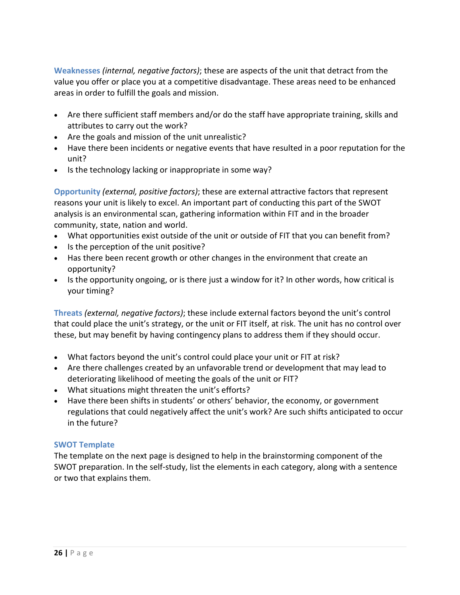**Weaknesses** *(internal, negative factors)*; these are aspects of the unit that detract from the value you offer or place you at a competitive disadvantage. These areas need to be enhanced areas in order to fulfill the goals and mission.

- Are there sufficient staff members and/or do the staff have appropriate training, skills and attributes to carry out the work?
- Are the goals and mission of the unit unrealistic?
- Have there been incidents or negative events that have resulted in a poor reputation for the unit?
- Is the technology lacking or inappropriate in some way?

**Opportunity** *(external, positive factors)*; these are external attractive factors that represent reasons your unit is likely to excel. An important part of conducting this part of the SWOT analysis is an environmental scan, gathering information within FIT and in the broader community, state, nation and world.

- What opportunities exist outside of the unit or outside of FIT that you can benefit from?
- Is the perception of the unit positive?
- Has there been recent growth or other changes in the environment that create an opportunity?
- Is the opportunity ongoing, or is there just a window for it? In other words, how critical is your timing?

**Threats** *(external, negative factors)*; these include external factors beyond the unit's control that could place the unit's strategy, or the unit or FIT itself, at risk. The unit has no control over these, but may benefit by having contingency plans to address them if they should occur.

- What factors beyond the unit's control could place your unit or FIT at risk?
- Are there challenges created by an unfavorable trend or development that may lead to deteriorating likelihood of meeting the goals of the unit or FIT?
- What situations might threaten the unit's efforts?
- Have there been shifts in students' or others' behavior, the economy, or government regulations that could negatively affect the unit's work? Are such shifts anticipated to occur in the future?

#### **SWOT Template**

The template on the next page is designed to help in the brainstorming component of the SWOT preparation. In the self-study, list the elements in each category, along with a sentence or two that explains them.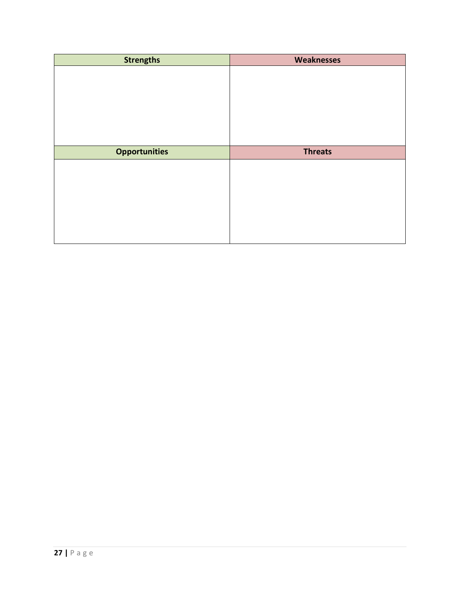| <b>Strengths</b>     | <b>Weaknesses</b> |  |
|----------------------|-------------------|--|
|                      |                   |  |
|                      |                   |  |
|                      |                   |  |
|                      |                   |  |
|                      |                   |  |
|                      |                   |  |
|                      |                   |  |
| <b>Opportunities</b> | <b>Threats</b>    |  |
|                      |                   |  |
|                      |                   |  |
|                      |                   |  |
|                      |                   |  |
|                      |                   |  |
|                      |                   |  |
|                      |                   |  |
|                      |                   |  |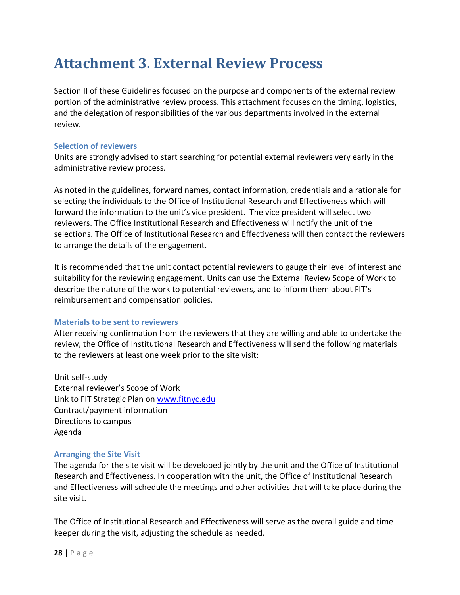## <span id="page-28-0"></span>**Attachment 3. External Review Process**

Section II of these Guidelines focused on the purpose and components of the external review portion of the administrative review process. This attachment focuses on the timing, logistics, and the delegation of responsibilities of the various departments involved in the external review.

### **Selection of reviewers**

Units are strongly advised to start searching for potential external reviewers very early in the administrative review process.

As noted in the guidelines, forward names, contact information, credentials and a rationale for selecting the individuals to the Office of Institutional Research and Effectiveness which will forward the information to the unit's vice president. The vice president will select two reviewers. The Office Institutional Research and Effectiveness will notify the unit of the selections. The Office of Institutional Research and Effectiveness will then contact the reviewers to arrange the details of the engagement.

It is recommended that the unit contact potential reviewers to gauge their level of interest and suitability for the reviewing engagement. Units can use the External Review Scope of Work to describe the nature of the work to potential reviewers, and to inform them about FIT's reimbursement and compensation policies.

## **Materials to be sent to reviewers**

After receiving confirmation from the reviewers that they are willing and able to undertake the review, the Office of Institutional Research and Effectiveness will send the following materials to the reviewers at least one week prior to the site visit:

Unit self-study External reviewer's Scope of Work Link to FIT Strategic Plan on [www.fitnyc.edu](http://www.fitnyc.edu/) Contract/payment information Directions to campus Agenda

#### **Arranging the Site Visit**

The agenda for the site visit will be developed jointly by the unit and the Office of Institutional Research and Effectiveness. In cooperation with the unit, the Office of Institutional Research and Effectiveness will schedule the meetings and other activities that will take place during the site visit.

The Office of Institutional Research and Effectiveness will serve as the overall guide and time keeper during the visit, adjusting the schedule as needed.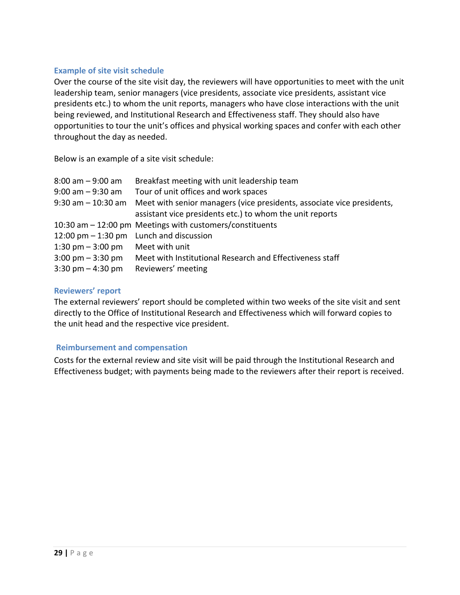### **Example of site visit schedule**

Over the course of the site visit day, the reviewers will have opportunities to meet with the unit leadership team, senior managers (vice presidents, associate vice presidents, assistant vice presidents etc.) to whom the unit reports, managers who have close interactions with the unit being reviewed, and Institutional Research and Effectiveness staff. They should also have opportunities to tour the unit's offices and physical working spaces and confer with each other throughout the day as needed.

Below is an example of a site visit schedule:

| $8:00$ am $-9:00$ am                | Breakfast meeting with unit leadership team                            |
|-------------------------------------|------------------------------------------------------------------------|
| $9:00$ am $-9:30$ am                | Tour of unit offices and work spaces                                   |
| $9:30$ am $-10:30$ am               | Meet with senior managers (vice presidents, associate vice presidents, |
|                                     | assistant vice presidents etc.) to whom the unit reports               |
|                                     | 10:30 am - 12:00 pm Meetings with customers/constituents               |
|                                     | 12:00 pm $-$ 1:30 pm Lunch and discussion                              |
| 1:30 pm $-$ 3:00 pm                 | Meet with unit                                                         |
| $3:00 \text{ pm} - 3:30 \text{ pm}$ | Meet with Institutional Research and Effectiveness staff               |
| $3:30 \text{ pm} - 4:30 \text{ pm}$ | Reviewers' meeting                                                     |

### **Reviewers' report**

The external reviewers' report should be completed within two weeks of the site visit and sent directly to the Office of Institutional Research and Effectiveness which will forward copies to the unit head and the respective vice president.

#### **Reimbursement and compensation**

Costs for the external review and site visit will be paid through the Institutional Research and Effectiveness budget; with payments being made to the reviewers after their report is received.